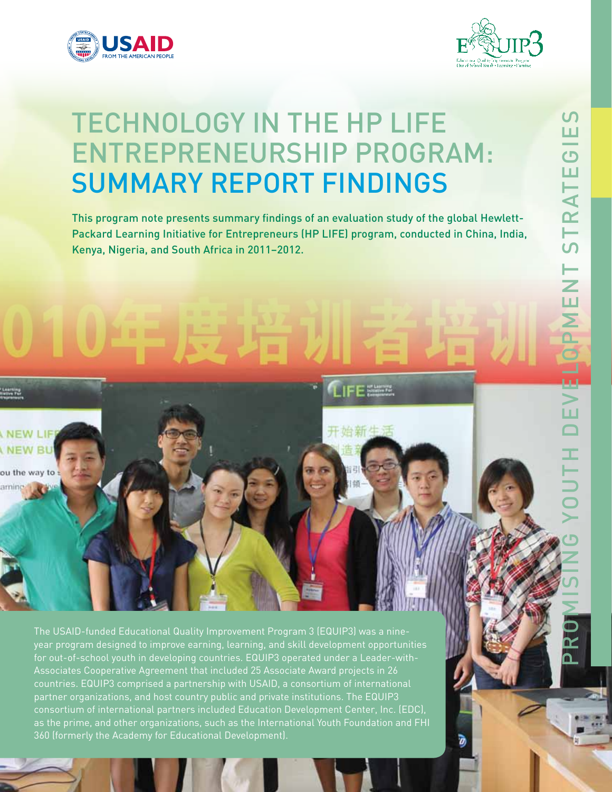

**NEW LIF JEW RU** 

ou the way to amine



# Technology iN the HP LIFE Entrepreneurship Program: Summary Report Findings

This program note presents summary findings of an evaluation study of the global Hewlett-Packard Learning Initiative for Entrepreneurs (HP LIFE) program, conducted in China, India, Kenya, Nigeria, and South Africa in 2011–2012.

The USAID-funded Educational Quality Improvement Program 3 (EQUIP3) was a nineyear program designed to improve earning, learning, and skill development opportunities for out-of-school youth in developing countries. EQUIP3 operated under a Leader-withcountries. EQUIP3 comprised a partnership with USAID, a consortium of international partner organizations, and host country public and private institutions. The EQUIP3 consortium of international partners included Education Development Center, Inc. (EDC), as the prime, and other organizations, such as the International Youth Foundation and FHI 360 (formerly the Academy for Educational Development).

EQUIP3 Technical and vocational Education and training

LIFE ===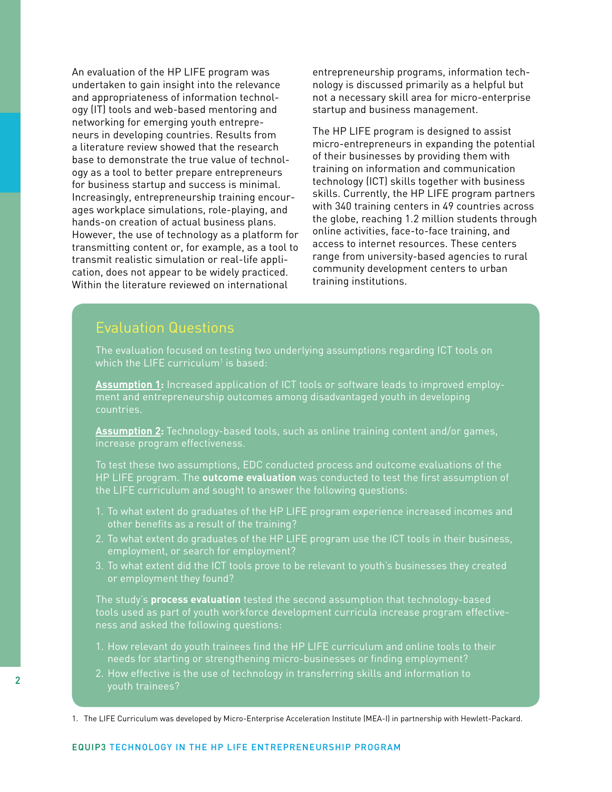An evaluation of the HP LIFE program was undertaken to gain insight into the relevance and appropriateness of information technology (IT) tools and web-based mentoring and networking for emerging youth entrepreneurs in developing countries. Results from a literature review showed that the research base to demonstrate the true value of technology as a tool to better prepare entrepreneurs for business startup and success is minimal. Increasingly, entrepreneurship training encourages workplace simulations, role-playing, and hands-on creation of actual business plans. However, the use of technology as a platform for transmitting content or, for example, as a tool to transmit realistic simulation or real-life application, does not appear to be widely practiced. Within the literature reviewed on international

entrepreneurship programs, information technology is discussed primarily as a helpful but not a necessary skill area for micro-enterprise startup and business management.

The HP LIFE program is designed to assist micro-entrepreneurs in expanding the potential of their businesses by providing them with training on information and communication technology (ICT) skills together with business skills. Currently, the HP LIFE program partners with 340 training centers in 49 countries across the globe, reaching 1.2 million students through online activities, face-to-face training, and access to internet resources. These centers range from university-based agencies to rural community development centers to urban training institutions.

### Evaluation Questions

The evaluation focused on testing two underlying assumptions regarding ICT tools on which the LIFE curriculum $^1$  is based:

**Assumption 1:** Increased application of ICT tools or software leads to improved employment and entrepreneurship outcomes among disadvantaged youth in developing countries.

**Assumption 2:** Technology-based tools, such as online training content and/or games, increase program effectiveness.

To test these two assumptions, EDC conducted process and outcome evaluations of the HP LIFE program. The **outcome evaluation** was conducted to test the first assumption of the LIFE curriculum and sought to answer the following questions:

- 1. To what extent do graduates of the HP LIFE program experience increased incomes and other benefits as a result of the training?
- 2. To what extent do graduates of the HP LIFE program use the ICT tools in their business, employment, or search for employment?
- or employment they found?

The study's **process evaluation** tested the second assumption that technology-based tools used as part of youth workforce development curricula increase program effectiveness and asked the following questions:

- 1. How relevant do youth trainees find the HP LIFE curriculum and online tools to their needs for starting or strengthening micro-businesses or finding employment?
- 2. How effective is the use of technology in transferring skills and information to

1. The LIFE Curriculum was developed by Micro-Enterprise Acceleration Institute (MEA-I) in partnership with Hewlett-Packard.

#### EQUIP3 Technology iN the HP LIFE Entrepreneurship Program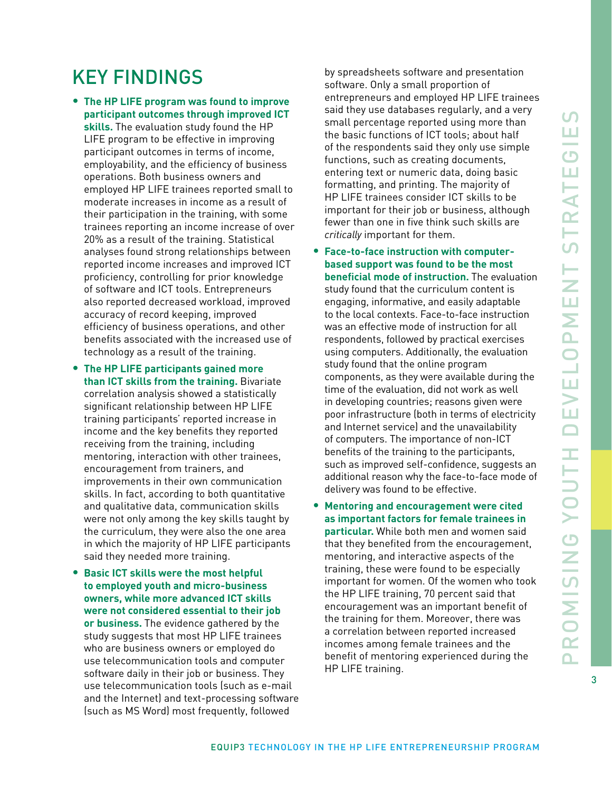## Key Findings

- • **The HP LIFE program was found to improve participant outcomes through improved ICT skills.** The evaluation study found the HP LIFE program to be effective in improving participant outcomes in terms of income, employability, and the efficiency of business operations. Both business owners and employed HP LIFE trainees reported small to moderate increases in income as a result of their participation in the training, with some trainees reporting an income increase of over 20% as a result of the training. Statistical analyses found strong relationships between reported income increases and improved ICT proficiency, controlling for prior knowledge of software and ICT tools. Entrepreneurs also reported decreased workload, improved accuracy of record keeping, improved efficiency of business operations, and other benefits associated with the increased use of technology as a result of the training.
- • **The HP LIFE participants gained more than ICT skills from the training.** Bivariate correlation analysis showed a statistically significant relationship between HP LIFE training participants' reported increase in income and the key benefits they reported receiving from the training, including mentoring, interaction with other trainees, encouragement from trainers, and improvements in their own communication skills. In fact, according to both quantitative and qualitative data, communication skills were not only among the key skills taught by the curriculum, they were also the one area in which the majority of HP LIFE participants said they needed more training.
- • **Basic ICT skills were the most helpful to employed youth and micro-business owners, while more advanced ICT skills were not considered essential to their job or business.** The evidence gathered by the study suggests that most HP LIFE trainees who are business owners or employed do use telecommunication tools and computer software daily in their job or business. They use telecommunication tools (such as e-mail and the Internet) and text-processing software (such as MS Word) most frequently, followed

by spreadsheets software and presentation software. Only a small proportion of entrepreneurs and employed HP LIFE trainees said they use databases regularly, and a very small percentage reported using more than the basic functions of ICT tools; about half of the respondents said they only use simple functions, such as creating documents, entering text or numeric data, doing basic formatting, and printing. The majority of HP LIFE trainees consider ICT skills to be important for their job or business, although fewer than one in five think such skills are *critically* important for them.

- • **Face-to-face instruction with computerbased support was found to be the most beneficial mode of instruction.** The evaluation study found that the curriculum content is engaging, informative, and easily adaptable to the local contexts. Face-to-face instruction was an effective mode of instruction for all respondents, followed by practical exercises using computers. Additionally, the evaluation study found that the online program components, as they were available during the time of the evaluation, did not work as well in developing countries; reasons given were poor infrastructure (both in terms of electricity and Internet service) and the unavailability of computers. The importance of non-ICT benefits of the training to the participants, such as improved self-confidence, suggests an additional reason why the face-to-face mode of delivery was found to be effective.
- • **Mentoring and encouragement were cited as important factors for female trainees in particular.** While both men and women said that they benefited from the encouragement, mentoring, and interactive aspects of the training, these were found to be especially important for women. Of the women who took the HP LIFE training, 70 percent said that encouragement was an important benefit of the training for them. Moreover, there was a correlation between reported increased incomes among female trainees and the benefit of mentoring experienced during the HP LIFE training.